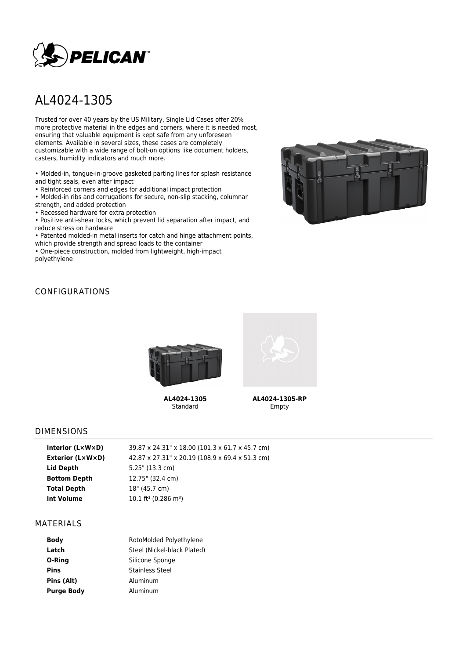

# AL4024-1305

Trusted for over 40 years by the US Military, Single Lid Cases offer 20% more protective material in the edges and corners, where it is needed most, ensuring that valuable equipment is kept safe from any unforeseen elements. Available in several sizes, these cases are completely customizable with a wide range of bolt-on options like document holders, casters, humidity indicators and much more.

• Molded-in, tongue-in-groove gasketed parting lines for splash resistance and tight seals, even after impact

• Reinforced corners and edges for additional impact protection

• Molded-in ribs and corrugations for secure, non-slip stacking, columnar strength, and added protection

• Recessed hardware for extra protection

• Positive anti-shear locks, which prevent lid separation after impact, and reduce stress on hardware

• Patented molded-in metal inserts for catch and hinge attachment points, which provide strength and spread loads to the container

• One-piece construction, molded from lightweight, high-impact polyethylene



## CONFIGURATIONS



**AL4024-1305** Standard



**AL4024-1305-RP** Empty

#### DIMENSIONS

| Interior $(L \times W \times D)$ | 39.87 x 24.31" x 18.00 (101.3 x 61.7 x 45.7 cm) |
|----------------------------------|-------------------------------------------------|
| Exterior (L×W×D)                 | 42.87 x 27.31" x 20.19 (108.9 x 69.4 x 51.3 cm) |
| Lid Depth                        | $5.25$ " (13.3 cm)                              |
| <b>Bottom Depth</b>              | 12.75" (32.4 cm)                                |
| <b>Total Depth</b>               | 18" (45.7 cm)                                   |
| Int Volume                       | $10.1 \text{ ft}^3$ (0.286 m <sup>3</sup> )     |
|                                  |                                                 |

#### MATERIALS

| RotoMolded Polyethylene     |  |  |
|-----------------------------|--|--|
| Steel (Nickel-black Plated) |  |  |
| Silicone Sponge             |  |  |
| Stainless Steel             |  |  |
| Aluminum                    |  |  |
| Aluminum                    |  |  |
|                             |  |  |